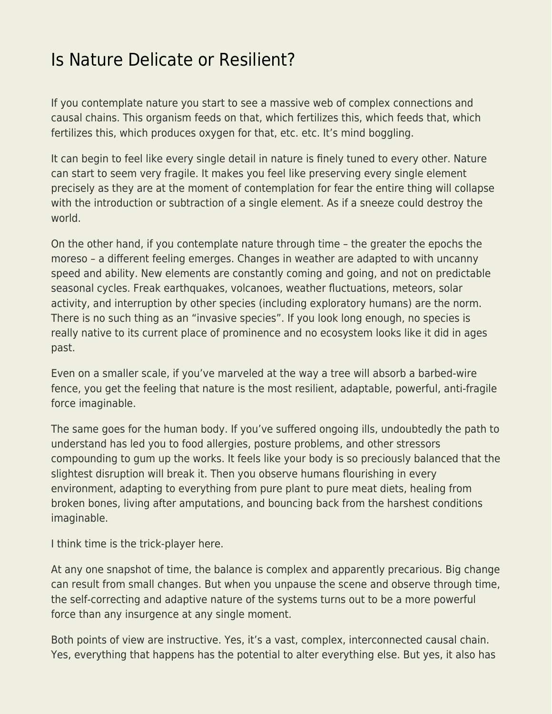## [Is Nature Delicate or Resilient?](https://everything-voluntary.com/is-nature-delicate-or-resilient)

If you contemplate nature you start to see a massive web of complex connections and causal chains. This organism feeds on that, which fertilizes this, which feeds that, which fertilizes this, which produces oxygen for that, etc. etc. It's mind boggling.

It can begin to feel like every single detail in nature is finely tuned to every other. Nature can start to seem very fragile. It makes you feel like preserving every single element precisely as they are at the moment of contemplation for fear the entire thing will collapse with the introduction or subtraction of a single element. As if a sneeze could destroy the world.

On the other hand, if you contemplate nature through time – the greater the epochs the moreso – a different feeling emerges. Changes in weather are adapted to with uncanny speed and ability. New elements are constantly coming and going, and not on predictable seasonal cycles. Freak earthquakes, volcanoes, weather fluctuations, meteors, solar activity, and interruption by other species (including exploratory humans) are the norm. There is no such thing as an "invasive species". If you look long enough, no species is really native to its current place of prominence and no ecosystem looks like it did in ages past.

Even on a smaller scale, if you've marveled at the way a tree will absorb a barbed-wire fence, you get the feeling that nature is the most resilient, adaptable, powerful, anti-fragile force imaginable.

The same goes for the human body. If you've suffered ongoing ills, undoubtedly the path to understand has led you to food allergies, posture problems, and other stressors compounding to gum up the works. It feels like your body is so preciously balanced that the slightest disruption will break it. Then you observe humans flourishing in every environment, adapting to everything from pure plant to pure meat diets, healing from broken bones, living after amputations, and bouncing back from the harshest conditions imaginable.

I think time is the trick-player here.

At any one snapshot of time, the balance is complex and apparently precarious. Big change can result from small changes. But when you unpause the scene and observe through time, the self-correcting and adaptive nature of the systems turns out to be a more powerful force than any insurgence at any single moment.

Both points of view are instructive. Yes, it's a vast, complex, interconnected causal chain. Yes, everything that happens has the potential to alter everything else. But yes, it also has